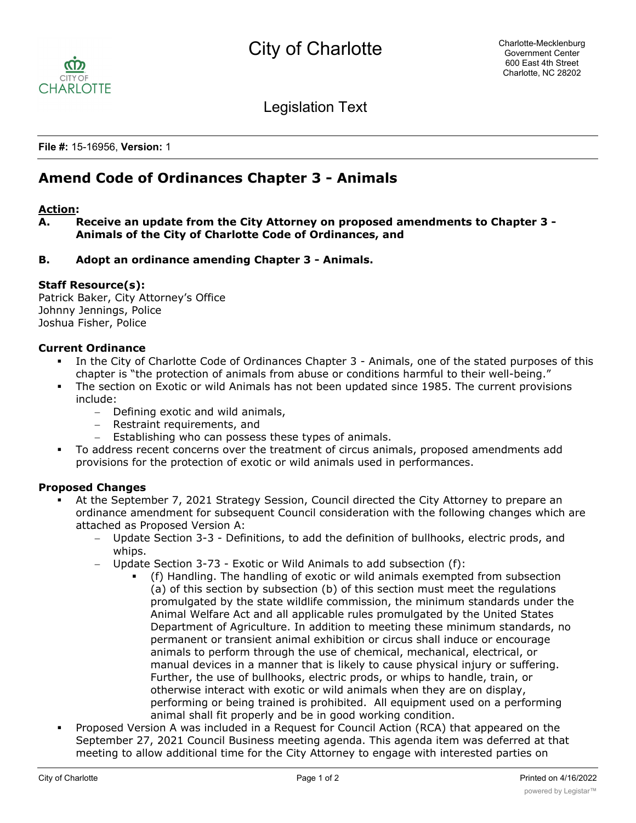

Legislation Text

**File #:** 15-16956, **Version:** 1

# **Amend Code of Ordinances Chapter 3 - Animals**

#### **Action:**

**A. Receive an update from the City Attorney on proposed amendments to Chapter 3 - Animals of the City of Charlotte Code of Ordinances, and**

### **B. Adopt an ordinance amending Chapter 3 - Animals.**

### **Staff Resource(s):**

Patrick Baker, City Attorney's Office Johnny Jennings, Police Joshua Fisher, Police

### **Current Ordinance**

- In the City of Charlotte Code of Ordinances Chapter 3 Animals, one of the stated purposes of this chapter is "the protection of animals from abuse or conditions harmful to their well-being."
- The section on Exotic or wild Animals has not been updated since 1985. The current provisions include:
	- Defining exotic and wild animals,
	- Restraint requirements, and
	- Establishing who can possess these types of animals.
- § To address recent concerns over the treatment of circus animals, proposed amendments add provisions for the protection of exotic or wild animals used in performances.

### **Proposed Changes**

- At the September 7, 2021 Strategy Session, Council directed the City Attorney to prepare an ordinance amendment for subsequent Council consideration with the following changes which are attached as Proposed Version A:
	- Update Section 3-3 Definitions, to add the definition of bullhooks, electric prods, and whips.
	- Update Section 3-73 Exotic or Wild Animals to add subsection (f):
		- § (f) Handling. The handling of exotic or wild animals exempted from subsection (a) of this section by subsection (b) of this section must meet the regulations promulgated by the state wildlife commission, the minimum standards under the Animal Welfare Act and all applicable rules promulgated by the United States Department of Agriculture. In addition to meeting these minimum standards, no permanent or transient animal exhibition or circus shall induce or encourage animals to perform through the use of chemical, mechanical, electrical, or manual devices in a manner that is likely to cause physical injury or suffering. Further, the use of bullhooks, electric prods, or whips to handle, train, or otherwise interact with exotic or wild animals when they are on display, performing or being trained is prohibited. All equipment used on a performing animal shall fit properly and be in good working condition.
- § Proposed Version A was included in a Request for Council Action (RCA) that appeared on the September 27, 2021 Council Business meeting agenda. This agenda item was deferred at that meeting to allow additional time for the City Attorney to engage with interested parties on